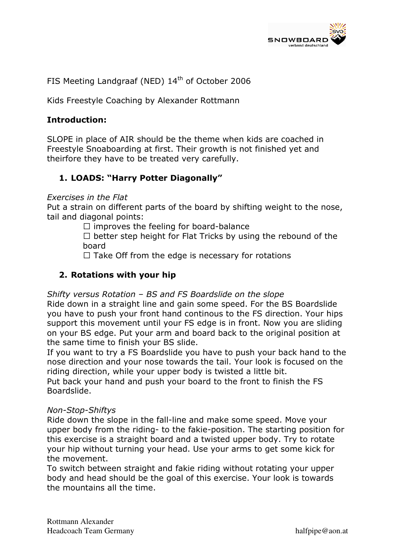

FIS Meeting Landgraaf (NED) 14<sup>th</sup> of October 2006

Kids Freestyle Coaching by Alexander Rottmann

### Introduction:

SLOPE in place of AIR should be the theme when kids are coached in Freestyle Snoaboarding at first. Their growth is not finished yet and theirfore they have to be treated very carefully.

# 1. LOADS: "Harry Potter Diagonally"

#### Exercises in the Flat

Put a strain on different parts of the board by shifting weight to the nose, tail and diagonal points:

2 improves the feeling for board-balance

2 better step height for Flat Tricks by using the rebound of the board

2 Take Off from the edge is necessary for rotations

### 2. Rotations with your hip

Shifty versus Rotation – BS and FS Boardslide on the slope

Ride down in a straight line and gain some speed. For the BS Boardslide you have to push your front hand continous to the FS direction. Your hips support this movement until your FS edge is in front. Now you are sliding on your BS edge. Put your arm and board back to the original position at the same time to finish your BS slide.

If you want to try a FS Boardslide you have to push your back hand to the nose direction and your nose towards the tail. Your look is focused on the riding direction, while your upper body is twisted a little bit.

Put back your hand and push your board to the front to finish the FS Boardslide.

#### Non-Stop-Shiftys

Ride down the slope in the fall-line and make some speed. Move your upper body from the riding- to the fakie-position. The starting position for this exercise is a straight board and a twisted upper body. Try to rotate your hip without turning your head. Use your arms to get some kick for the movement.

To switch between straight and fakie riding without rotating your upper body and head should be the goal of this exercise. Your look is towards the mountains all the time.